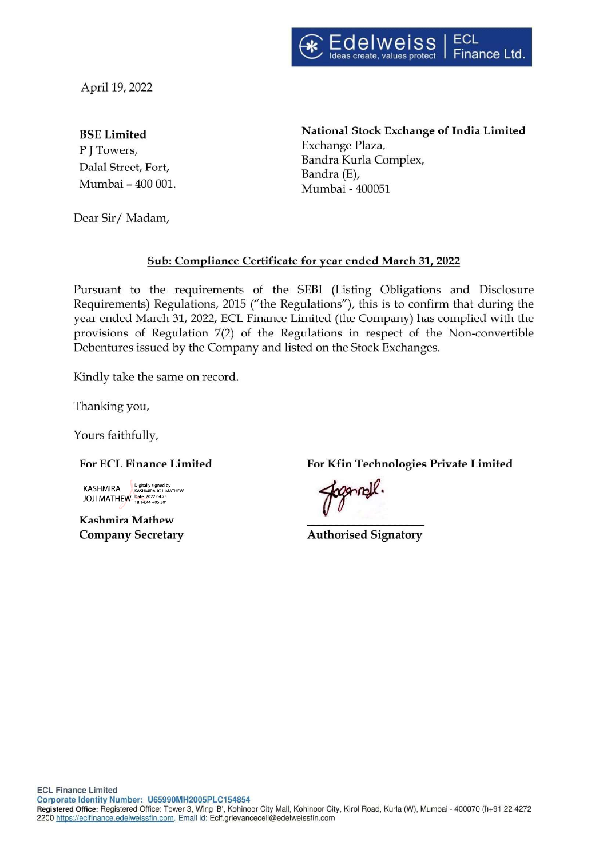

April 19, 2022

# **BSE Limited**

P J Towers, Dalal Street, Fort, Mumbai - 400 001.

Dear Sir/Madam,

National Stock Exchange of India Limited Exchange Plaza, Bandra Kurla Complex, Bandra (E), Mumbai - 400051

# Sub: Compliance Certificate for year ended March 31, 2022

Pursuant to the requirements of the SEBI (Listing Obligations and Disclosure Requirements) Regulations, 2015 ("the Regulations"), this is to confirm that during the year ended March 31, 2022, ECL Finance Limited (the Company) has complied with the provisions of Regulation 7(2) of the Regulations in respect of the Non-convertible Debentures issued by the Company and listed on the Stock Exchanges.

Kindly take the same on record.

Thanking you,

Yours faithfully,

# **For ECL Finance Limited**

Digitally signed by<br>KASHMIRA JOJI MATHEW **KASHMIRA** JOJI MATHEW Date: 2022.04.25

**Kashmira Mathew Company Secretary**  For Kfin Technologies Private Limited

ngannall.

**Authorised Signatory**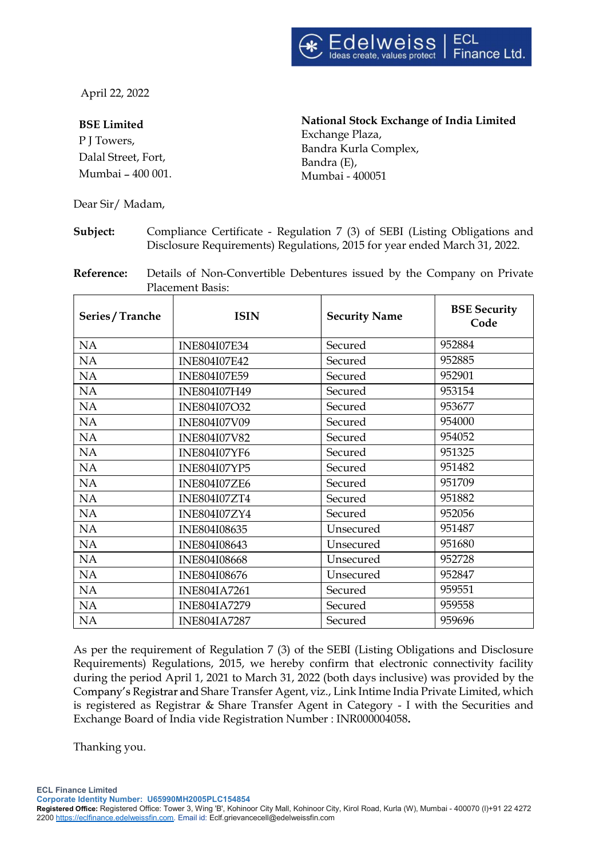April 22, 2022

### BSE Limited

P J Towers, Dalal Street, Fort, Mumbai 400 001.

Dear Sir/ Madam,

National Stock Exchange of India Limited Exchange Plaza, Bandra Kurla Complex, Bandra (E), Mumbai - 400051

Subject: Compliance Certificate - Regulation 7 (3) of SEBI (Listing Obligations and Disclosure Requirements) Regulations, 2015 for year ended March 31, 2022.

Reference: Details of Non-Convertible Debentures issued by the Company on Private Placement Basis:

| Series / Tranche | <b>ISIN</b>         | <b>Security Name</b> | <b>BSE Security</b><br>Code |
|------------------|---------------------|----------------------|-----------------------------|
| <b>NA</b>        | <b>INE804I07E34</b> | Secured              | 952884                      |
| NA               | <b>INE804I07E42</b> | Secured              | 952885                      |
| NA               | <b>INE804I07E59</b> | Secured              | 952901                      |
| <b>NA</b>        | INE804I07H49        | Secured              | 953154                      |
| NA               | INE804I07O32        | Secured              | 953677                      |
| <b>NA</b>        | <b>INE804I07V09</b> | Secured              | 954000                      |
| <b>NA</b>        | <b>INE804I07V82</b> | Secured              | 954052                      |
| <b>NA</b>        | <b>INE804I07YF6</b> | Secured              | 951325                      |
| <b>NA</b>        | <b>INE804I07YP5</b> | Secured              | 951482                      |
| NA               | <b>INE804I07ZE6</b> | Secured              | 951709                      |
| <b>NA</b>        | <b>INE804I07ZT4</b> | Secured              | 951882                      |
| NA               | <b>INE804I07ZY4</b> | Secured              | 952056                      |
| <b>NA</b>        | INE804I08635        | Unsecured            | 951487                      |
| <b>NA</b>        | INE804I08643        | Unsecured            | 951680                      |
| <b>NA</b>        | <b>INE804I08668</b> | Unsecured            | 952728                      |
| <b>NA</b>        | INE804I08676        | Unsecured            | 952847                      |
| NA               | <b>INE804IA7261</b> | Secured              | 959551                      |
| NA               | <b>INE804IA7279</b> | Secured              | 959558                      |
| NA               | <b>INE804IA7287</b> | Secured              | 959696                      |

As per the requirement of Regulation 7 (3) of the SEBI (Listing Obligations and Disclosure Requirements) Regulations, 2015, we hereby confirm that electronic connectivity facility during the period April 1, 2021 to March 31, 2022 (both days inclusive) was provided by the Company's Registrar and Share Transfer Agent, viz., Link Intime India Private Limited, which is registered as Registrar & Share Transfer Agent in Category - I with the Securities and Exchange Board of India vide Registration Number : INR000004058.

Thanking you.

Corporate Identity Number: U65990MH2005PLC154854

Registered Office: Registered Office: Tower 3, Wing 'B', Kohinoor City Mall, Kohinoor City, Kirol Road, Kurla (W), Mumbai - 400070 (l)+91 22 4272 2200 https://eclfinance.edelweissfin.com. Email id: Eclf.grievancecell@edelweissfin.com